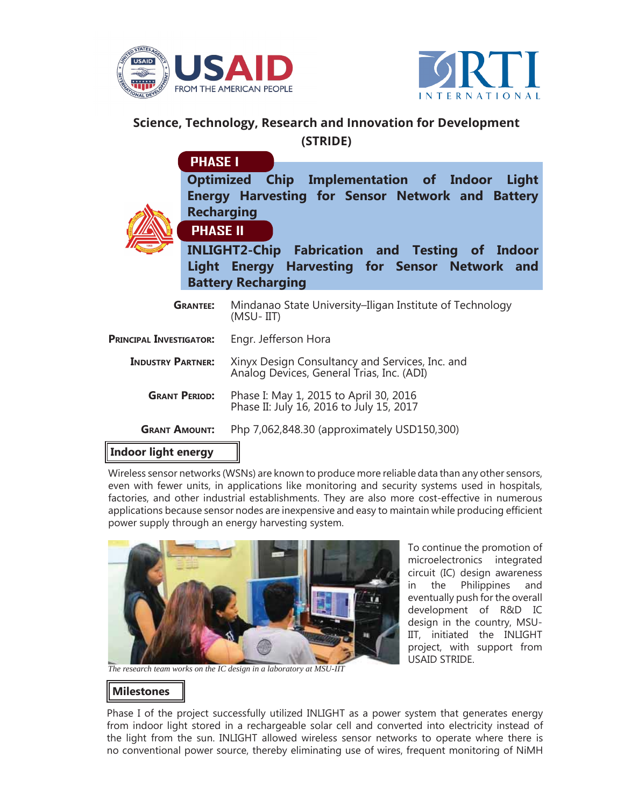



## **Science, Technology, Research and Innovation for Development (STRIDE)**

**Optimized Chip Implementation of Indoor Light Energy Harvesting for Sensor Network and Battery Recharging PHASE I**



**INLIGHT2-Chip Fabrication and Testing of Indoor Light Energy Harvesting for Sensor Network and Battery Recharging**

| <b>GRANTEE:</b>                | Mindanao State University-Iligan Institute of Technology<br>(MSU-IIT)                        |
|--------------------------------|----------------------------------------------------------------------------------------------|
| <b>PRINCIPAL INVESTIGATOR:</b> | Engr. Jefferson Hora                                                                         |
| <b>INDUSTRY PARTNER:</b>       | Xinyx Design Consultancy and Services, Inc. and<br>Analog Devices, General Trias, Inc. (ADI) |
| <b>GRANT PERIOD:</b>           | Phase I: May 1, 2015 to April 30, 2016<br>Phase II: July 16, 2016 to July 15, 2017           |
| <b>GRANT AMOUNT:</b>           | Php 7,062,848.30 (approximately USD150,300)                                                  |
| .                              |                                                                                              |

## **Indoor light energy**

Wireless sensor networks (WSNs) are known to produce more reliable data than any other sensors, even with fewer units, in applications like monitoring and security systems used in hospitals, factories, and other industrial establishments. They are also more cost-effective in numerous applications because sensor nodes are inexpensive and easy to maintain while producing efficient power supply through an energy harvesting system.



To continue the promotion of microelectronics integrated circuit (IC) design awareness in the Philippines and eventually push for the overall development of R&D IC design in the country, MSU-IIT, initiated the INLIGHT project, with support from USAID STRIDE.

*The research team works on the IC design in a laboratory at MSU-IIT*

## **Milestones**

Phase I of the project successfully utilized INLIGHT as a power system that generates energy from indoor light stored in a rechargeable solar cell and converted into electricity instead of the light from the sun. INLIGHT allowed wireless sensor networks to operate where there is no conventional power source, thereby eliminating use of wires, frequent monitoring of NiMH